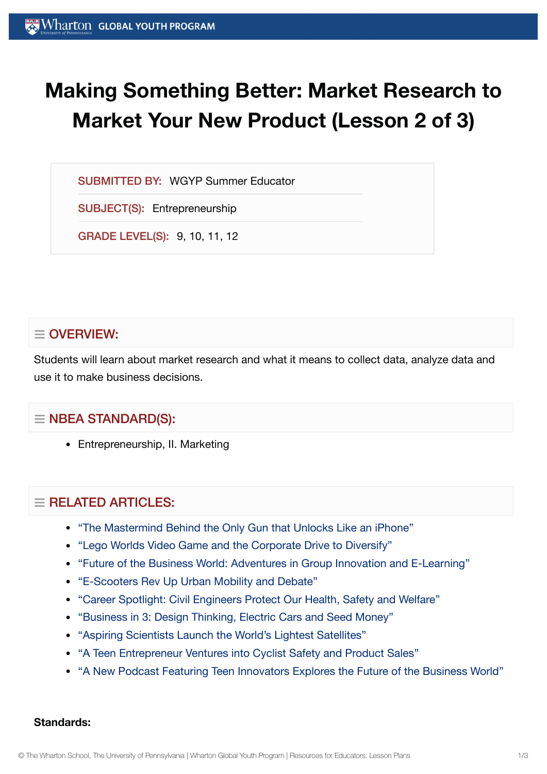# **Making Something Better: Market Research to Market Your New Product (Lesson 2 of 3)**

SUBMITTED BY: WGYP Summer Educator

SUBJECT(S): Entrepreneurship

GRADE LEVEL(S): 9, 10, 11, 12

# $\equiv$  OVERVIEW:

Students will learn about market research and what it means to collect data, analyze data and use it to make business decisions.

# $\equiv$  NBEA STANDARD(S):

Entrepreneurship, II. Marketing

# $\equiv$  RELATED ARTICLES:

- "The Mastermind Behind the Only Gun that [Unlocks Like](https://globalyouth.wharton.upenn.edu/articles/mastermind-behind-only-gun-unlocks-like-iphone/) an iPhone"
- "Lego [Worlds Video](https://globalyouth.wharton.upenn.edu/articles/lego-worlds-video-game-corporate-drive-diversify/) Game and the Corporate Drive to Diversify"
- "Future of the [Business World:](https://globalyouth.wharton.upenn.edu/articles/future-business-world-adventures-in-group-innovation-and-e-learning/) Adventures in Group Innovation and E-Learning"
- ["E-Scooters Rev Up](https://globalyouth.wharton.upenn.edu/articles/e-scooters-rev-urban-mobility-debate/) Urban Mobility and Debate"
- "Career Spotlight: Civil [Engineers Protect](https://globalyouth.wharton.upenn.edu/articles/career-spotlight-civil-engineers-protect-health-safety-welfare/) Our Health, Safety and Welfare"
- ["Business in](https://globalyouth.wharton.upenn.edu/articles/business-3-design-thinking-electric-cars-seed-money/) 3: Design Thinking, Electric Cars and Seed Money"
- "Aspiring [Scientists Launch](https://globalyouth.wharton.upenn.edu/articles/young-scientists-worlds-lightest-satellite/) the World's Lightest Satellites"
- "A Teen Entrepreneur [Ventures into](https://globalyouth.wharton.upenn.edu/articles/teen-entrepreneur-ventures-bicycle-safety-product-sales/) Cyclist Safety and Product Sales"
- "A New Podcast Featuring Teen [Innovators Explores the](https://globalyouth.wharton.upenn.edu/articles/new-podcast-teen-innovators-explores-future-of-the-business-world/) Future of the Business World"

#### **Standards:**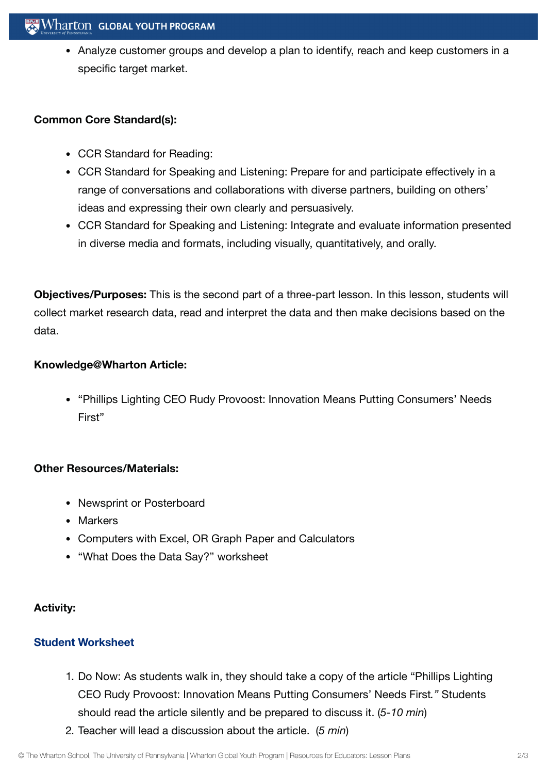• Analyze customer groups and develop a plan to identify, reach and keep customers in a specific target market.

#### **Common Core Standard(s):**

- CCR Standard for Reading:
- CCR Standard for Speaking and Listening: Prepare for and participate effectively in a range of conversations and collaborations with diverse partners, building on others' ideas and expressing their own clearly and persuasively.
- CCR Standard for Speaking and Listening: Integrate and evaluate information presented in diverse media and formats, including visually, quantitatively, and orally.

**Objectives/Purposes:** This is the second part of a three-part lesson. In this lesson, students will collect market research data, read and interpret the data and then make decisions based on the data.

## **Knowledge@Wharton Article:**

"Phillips Lighting CEO Rudy Provoost: Innovation Means Putting Consumers' Needs First"

## **Other Resources/Materials:**

- Newsprint or Posterboard
- Markers
- Computers with Excel, OR Graph Paper and Calculators
- "What Does the Data Say?" worksheet

## **Activity:**

## **Student [Worksheet](https://globalyouth.wharton.upenn.edu/wp-content/uploads/2012/02/Entreprenuership22_Entrepreneurwrksheet-1.doc)**

- 1. Do Now: As students walk in, they should take a copy of the article "Phillips Lighting CEO Rudy Provoost: Innovation Means Putting Consumers' Needs First*."* Students should read the article silently and be prepared to discuss it. (*5-10 min*)
- 2. Teacher will lead a discussion about the article. (*5 min*)